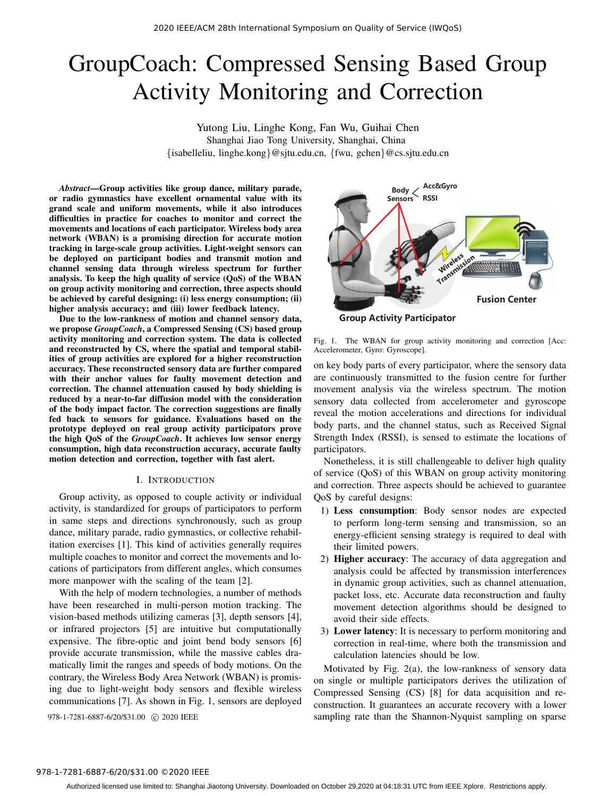# GroupCoach: Compressed Sensing Based Group Activity Monitoring and Correction

Yutong Liu, Linghe Kong, Fan Wu, Guihai Chen Shanghai Jiao Tong University, Shanghai, China {isabelleliu, linghe.kong}@sjtu.edu.cn, {fwu, gchen}@cs.sjtu.edu.cn

*Abstract*—Group activities like group dance, military parade, or radio gymnastics have excellent ornamental value with its grand scale and uniform movements, while it also introduces difficulties in practice for coaches to monitor and correct the movements and locations of each participator. Wireless body area network (WBAN) is a promising direction for accurate motion tracking in large-scale group activities. Light-weight sensors can be deployed on participant bodies and transmit motion and channel sensing data through wireless spectrum for further analysis. To keep the high quality of service (QoS) of the WBAN on group activity monitoring and correction, three aspects should be achieved by careful designing: (i) less energy consumption; (ii) higher analysis accuracy; and (iii) lower feedback latency.

Due to the low-rankness of motion and channel sensory data, we propose *GroupCoach*, a Compressed Sensing (CS) based group activity monitoring and correction system. The data is collected and reconstructed by CS, where the spatial and temporal stabilities of group activities are explored for a higher reconstruction accuracy. These reconstructed sensory data are further compared with their anchor values for faulty movement detection and correction. The channel attenuation caused by body shielding is reduced by a near-to-far diffusion model with the consideration of the body impact factor. The correction suggestions are finally fed back to sensors for guidance. Evaluations based on the prototype deployed on real group activity participators prove the high QoS of the *GroupCoach*. It achieves low sensor energy consumption, high data reconstruction accuracy, accurate faulty motion detection and correction, together with fast alert.

#### I. INTRODUCTION

Group activity, as opposed to couple activity or individual activity, is standardized for groups of participators to perform in same steps and directions synchronously, such as group dance, military parade, radio gymnastics, or collective rehabilitation exercises [1]. This kind of activities generally requires multiple coaches to monitor and correct the movements and locations of participators from different angles, which consumes more manpower with the scaling of the team [2].

With the help of modern technologies, a number of methods have been researched in multi-person motion tracking. The vision-based methods utilizing cameras [3], depth sensors [4], or infrared projectors [5] are intuitive but computationally expensive. The fibre-optic and joint bend body sensors [6] provide accurate transmission, while the massive cables dramatically limit the ranges and speeds of body motions. On the contrary, the Wireless Body Area Network (WBAN) is promising due to light-weight body sensors and flexible wireless communications [7]. As shown in Fig. 1, sensors are deployed



Group Activity Participator

Fig. 1. The WBAN for group activity monitoring and correction [Acc: Accelerometer, Gyro: Gyroscope].

on key body parts of every participator, where the sensory data are continuously transmitted to the fusion centre for further movement analysis via the wireless spectrum. The motion sensory data collected from accelerometer and gyroscope reveal the motion accelerations and directions for individual body parts, and the channel status, such as Received Signal Strength Index (RSSI), is sensed to estimate the locations of participators.

Nonetheless, it is still challengeable to deliver high quality of service (QoS) of this WBAN on group activity monitoring and correction. Three aspects should be achieved to guarantee QoS by careful designs:

- 1) Less consumption: Body sensor nodes are expected to perform long-term sensing and transmission, so an energy-efficient sensing strategy is required to deal with their limited powers.
- 2) Higher accuracy: The accuracy of data aggregation and analysis could be affected by transmission interferences in dynamic group activities, such as channel attenuation, packet loss, etc. Accurate data reconstruction and faulty movement detection algorithms should be designed to avoid their side effects.
- 3) Lower latency: It is necessary to perform monitoring and correction in real-time, where both the transmission and calculation latencies should be low.

Motivated by Fig. 2(a), the low-rankness of sensory data on single or multiple participators derives the utilization of Compressed Sensing (CS) [8] for data acquisition and reconstruction. It guarantees an accurate recovery with a lower 978-1-7281-6887-6/20/\$31.00 C 2020 IEEE sampling rate than the Shannon-Nyquist sampling on sparse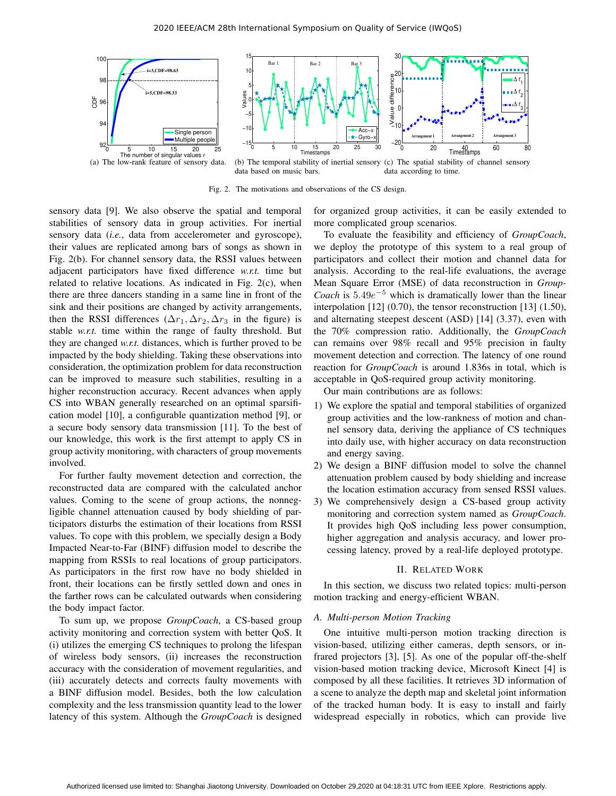

Fig. 2. The motivations and observations of the CS design.

sensory data [9]. We also observe the spatial and temporal stabilities of sensory data in group activities. For inertial sensory data (*i.e.*, data from accelerometer and gyroscope), their values are replicated among bars of songs as shown in Fig. 2(b). For channel sensory data, the RSSI values between adjacent participators have fixed difference *w.r.t.* time but related to relative locations. As indicated in Fig. 2(c), when there are three dancers standing in a same line in front of the sink and their positions are changed by activity arrangements, then the RSSI differences ( $\Delta r_1, \Delta r_2, \Delta r_3$  in the figure) is stable *w.r.t.* time within the range of faulty threshold. But they are changed *w.r.t.* distances, which is further proved to be impacted by the body shielding. Taking these observations into consideration, the optimization problem for data reconstruction can be improved to measure such stabilities, resulting in a higher reconstruction accuracy. Recent advances when apply CS into WBAN generally researched on an optimal sparsification model [10], a configurable quantization method [9], or a secure body sensory data transmission [11]. To the best of our knowledge, this work is the first attempt to apply CS in group activity monitoring, with characters of group movements involved.

For further faulty movement detection and correction, the reconstructed data are compared with the calculated anchor values. Coming to the scene of group actions, the nonnegligible channel attenuation caused by body shielding of participators disturbs the estimation of their locations from RSSI values. To cope with this problem, we specially design a Body Impacted Near-to-Far (BINF) diffusion model to describe the mapping from RSSIs to real locations of group participators. As participators in the first row have no body shielded in front, their locations can be firstly settled down and ones in the farther rows can be calculated outwards when considering the body impact factor.

To sum up, we propose *GroupCoach*, a CS-based group activity monitoring and correction system with better QoS. It (i) utilizes the emerging CS techniques to prolong the lifespan of wireless body sensors, (ii) increases the reconstruction accuracy with the consideration of movement regularities, and (iii) accurately detects and corrects faulty movements with a BINF diffusion model. Besides, both the low calculation complexity and the less transmission quantity lead to the lower latency of this system. Although the *GroupCoach* is designed

for organized group activities, it can be easily extended to more complicated group scenarios.

To evaluate the feasibility and efficiency of *GroupCoach*, we deploy the prototype of this system to a real group of participators and collect their motion and channel data for analysis. According to the real-life evaluations, the average Mean Square Error (MSE) of data reconstruction in *Group-Coach* is  $5.49e^{-5}$  which is dramatically lower than the linear interpolation [12] (0.70), the tensor reconstruction [13] (1.50), and alternating steepest descent (ASD) [14] (3.37), even with the 70% compression ratio. Additionally, the *GroupCoach* can remains over 98% recall and 95% precision in faulty movement detection and correction. The latency of one round reaction for *GroupCoach* is around 1.836s in total, which is acceptable in QoS-required group activity monitoring.

Our main contributions are as follows:

- 1) We explore the spatial and temporal stabilities of organized group activities and the low-rankness of motion and channel sensory data, deriving the appliance of CS techniques into daily use, with higher accuracy on data reconstruction and energy saving.
- 2) We design a BINF diffusion model to solve the channel attenuation problem caused by body shielding and increase the location estimation accuracy from sensed RSSI values.
- 3) We comprehensively design a CS-based group activity monitoring and correction system named as *GroupCoach*. It provides high QoS including less power consumption, higher aggregation and analysis accuracy, and lower processing latency, proved by a real-life deployed prototype.

#### II. RELATED WORK

In this section, we discuss two related topics: multi-person motion tracking and energy-efficient WBAN.

#### *A. Multi-person Motion Tracking*

One intuitive multi-person motion tracking direction is vision-based, utilizing either cameras, depth sensors, or infrared projectors [3], [5]. As one of the popular off-the-shelf vision-based motion tracking device, Microsoft Kinect [4] is composed by all these facilities. It retrieves 3D information of a scene to analyze the depth map and skeletal joint information of the tracked human body. It is easy to install and fairly widespread especially in robotics, which can provide live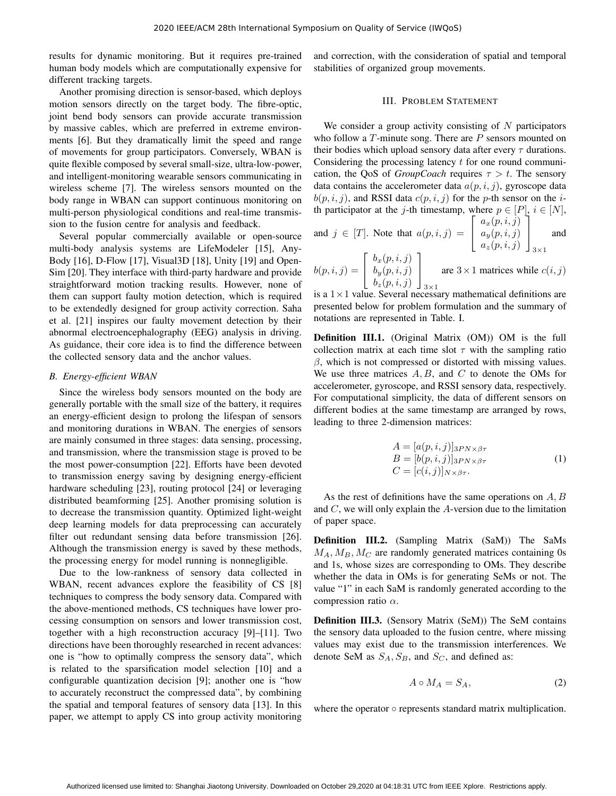results for dynamic monitoring. But it requires pre-trained human body models which are computationally expensive for different tracking targets.

Another promising direction is sensor-based, which deploys motion sensors directly on the target body. The fibre-optic, joint bend body sensors can provide accurate transmission by massive cables, which are preferred in extreme environments [6]. But they dramatically limit the speed and range of movements for group participators. Conversely, WBAN is quite flexible composed by several small-size, ultra-low-power, and intelligent-monitoring wearable sensors communicating in wireless scheme [7]. The wireless sensors mounted on the body range in WBAN can support continuous monitoring on multi-person physiological conditions and real-time transmission to the fusion centre for analysis and feedback.

Several popular commercially available or open-source multi-body analysis systems are LifeModeler [15], Any-Body [16], D-Flow [17], Visual3D [18], Unity [19] and Open-Sim [20]. They interface with third-party hardware and provide straightforward motion tracking results. However, none of them can support faulty motion detection, which is required to be extendedly designed for group activity correction. Saha et al. [21] inspires our faulty movement detection by their abnormal electroencephalography (EEG) analysis in driving. As guidance, their core idea is to find the difference between the collected sensory data and the anchor values.

## *B. Energy-efficient WBAN*

Since the wireless body sensors mounted on the body are generally portable with the small size of the battery, it requires an energy-efficient design to prolong the lifespan of sensors and monitoring durations in WBAN. The energies of sensors are mainly consumed in three stages: data sensing, processing, and transmission, where the transmission stage is proved to be the most power-consumption [22]. Efforts have been devoted to transmission energy saving by designing energy-efficient hardware scheduling [23], routing protocol [24] or leveraging distributed beamforming [25]. Another promising solution is to decrease the transmission quantity. Optimized light-weight deep learning models for data preprocessing can accurately filter out redundant sensing data before transmission [26]. Although the transmission energy is saved by these methods, the processing energy for model running is nonnegligible.

Due to the low-rankness of sensory data collected in WBAN, recent advances explore the feasibility of CS [8] techniques to compress the body sensory data. Compared with the above-mentioned methods, CS techniques have lower processing consumption on sensors and lower transmission cost, together with a high reconstruction accuracy [9]–[11]. Two directions have been thoroughly researched in recent advances: one is "how to optimally compress the sensory data", which is related to the sparsification model selection [10] and a configurable quantization decision [9]; another one is "how to accurately reconstruct the compressed data", by combining the spatial and temporal features of sensory data [13]. In this paper, we attempt to apply CS into group activity monitoring and correction, with the consideration of spatial and temporal stabilities of organized group movements.

#### III. PROBLEM STATEMENT

We consider a group activity consisting of  $N$  participators who follow a  $T$ -minute song. There are  $P$  sensors mounted on their bodies which upload sensory data after every  $\tau$  durations. Considering the processing latency  $t$  for one round communication, the QoS of *GroupCoach* requires  $\tau > t$ . The sensory data contains the accelerometer data  $a(p, i, j)$ , gyroscope data  $b(p, i, j)$ , and RSSI data  $c(p, i, j)$  for the p-th sensor on the *i*th participator at the j-th timestamp, where  $p \in [P]$ ,  $i \in [N]$ ,

and  $j \in [T]$ . Note that  $a(p, i, j) =$  $\sqrt{ }$  $\overline{1}$  $a_x(p,i,j)$  $a_y(p,i,j)$  $a_z(p,i,j)$ l.  $\overline{1}$ and

$$
b(p, i, j) = \begin{bmatrix} b_x(p, i, j) \\ b_y(p, i, j) \\ b_z(p, i, j) \end{bmatrix}_{3 \times 1}
$$
 are  $3 \times 1$  matrices while  $c(i, j)$ 

is a  $1 \times 1$  value. Several necessary mathematical definitions are presented below for problem formulation and the summary of notations are represented in Table. I.

Definition III.1. (Original Matrix (OM)) OM is the full collection matrix at each time slot  $\tau$  with the sampling ratio  $\beta$ , which is not compressed or distorted with missing values. We use three matrices  $A, B$ , and  $C$  to denote the OMs for accelerometer, gyroscope, and RSSI sensory data, respectively. For computational simplicity, the data of different sensors on different bodies at the same timestamp are arranged by rows, leading to three 2-dimension matrices:

$$
A = [a(p, i, j)]_{3PN \times \beta \tau}
$$
  
\n
$$
B = [b(p, i, j)]_{3PN \times \beta \tau}
$$
  
\n
$$
C = [c(i, j)]_{N \times \beta \tau}.
$$
\n(1)

As the rest of definitions have the same operations on  $A, B$ and  $C$ , we will only explain the  $A$ -version due to the limitation of paper space.

Definition III.2. (Sampling Matrix (SaM)) The SaMs  $M_A, M_B, M_C$  are randomly generated matrices containing 0s and 1s, whose sizes are corresponding to OMs. They describe whether the data in OMs is for generating SeMs or not. The value "1" in each SaM is randomly generated according to the compression ratio  $\alpha$ .

Definition III.3. (Sensory Matrix (SeM)) The SeM contains the sensory data uploaded to the fusion centre, where missing values may exist due to the transmission interferences. We denote SeM as  $S_A$ ,  $S_B$ , and  $S_C$ , and defined as:

$$
A \circ M_A = S_A,\tag{2}
$$

where the operator  $\circ$  represents standard matrix multiplication.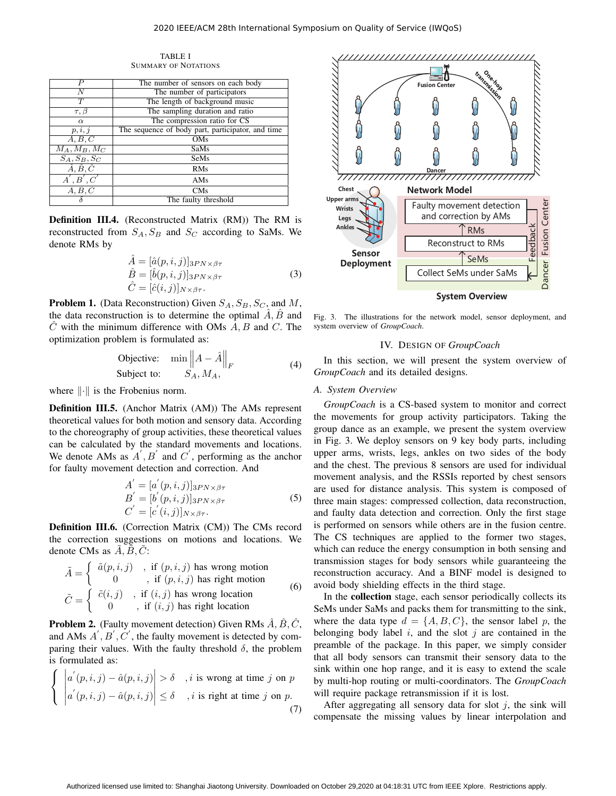TABLE I SUMMARY OF NOTATIONS

| P                           | The number of sensors on each body                |  |  |
|-----------------------------|---------------------------------------------------|--|--|
| N                           | The number of participators                       |  |  |
| T                           | The length of background music                    |  |  |
| $\tau, \beta$               | The sampling duration and ratio                   |  |  |
| $\alpha$                    | The compression ratio for CS                      |  |  |
| p, i, j                     | The sequence of body part, participator, and time |  |  |
| A, B, C                     | OMs                                               |  |  |
| $M_A, M_B, M_C$             | SaMs                                              |  |  |
| $S_A, S_B, S_C$             | SeMs                                              |  |  |
| $\hat{A}, \hat{B}, \hat{C}$ | <b>RMs</b>                                        |  |  |
| A', B', C'                  | AMs                                               |  |  |
| A, B, C                     | CMs                                               |  |  |
|                             | The faulty threshold                              |  |  |

Definition III.4. (Reconstructed Matrix (RM)) The RM is reconstructed from  $S_A$ ,  $S_B$  and  $S_C$  according to SaMs. We denote RMs by

$$
\hat{A} = [\hat{a}(p, i, j)]_{3PN \times \beta \tau} \n\hat{B} = [\hat{b}(p, i, j)]_{3PN \times \beta \tau} \n\hat{C} = [\hat{c}(i, j)]_{N \times \beta \tau}.
$$
\n(3)

**Problem 1.** (Data Reconstruction) Given  $S_A$ ,  $S_B$ ,  $S_C$ , and M, the data reconstruction is to determine the optimal  $\overline{A}$ ,  $\overline{B}$  and  $C$  with the minimum difference with OMs  $A, B$  and  $C$ . The optimization problem is formulated as:

$$
\begin{array}{ll}\n\text{Objective:} & \min \left\| A - \hat{A} \right\|_F \\
\text{Subject to:} & S_A, M_A,\n\end{array} \tag{4}
$$

where  $\|\cdot\|$  is the Frobenius norm.

Definition III.5. (Anchor Matrix (AM)) The AMs represent theoretical values for both motion and sensory data. According to the choreography of group activities, these theoretical values can be calculated by the standard movements and locations. We denote AMs as  $A', B'$  and  $C'$ , performing as the anchor for faulty movement detection and correction. And

$$
A' = [a'(p, i, j)]_{3PN \times \beta \tau}
$$
  
\n
$$
B' = [b'(p, i, j)]_{3PN \times \beta \tau}
$$
  
\n
$$
C' = [c'(i, j)]_{N \times \beta \tau}.
$$
\n(5)

Definition III.6. (Correction Matrix (CM)) The CMs record the correction suggestions on motions and locations. We denote CMs as  $A, B, C$ :

$$
\tilde{A} = \left\{ \begin{array}{ll} \tilde{a}(p,i,j) & , \text{ if } (p,i,j) \text{ has wrong motion} \\ 0 & , \text{ if } (p,i,j) \text{ has right motion} \\ \tilde{C} = \left\{ \begin{array}{ll} \tilde{c}(i,j) & , \text{ if } (i,j) \text{ has wrong location} \\ 0 & , \text{ if } (i,j) \text{ has right location} \end{array} \right. \end{array} \right.
$$

**Problem 2.** (Faulty movement detection) Given RMs  $\hat{A}$ ,  $\hat{B}$ ,  $\hat{C}$ , and AMs  $A', B', C'$ , the faulty movement is detected by comparing their values. With the faulty threshold  $\delta$ , the problem is formulated as:

$$
\left\{ \begin{array}{l} \left| a'(p,i,j) - \hat{a}(p,i,j) \right| > \delta \quad , i \text{ is wrong at time } j \text{ on } p \\ \left| a'(p,i,j) - \hat{a}(p,i,j) \right| \le \delta \quad , i \text{ is right at time } j \text{ on } p. \end{array} \right.
$$
\n(7)



Fig. 3. The illustrations for the network model, sensor deployment, and system overview of *GroupCoach*.

#### IV. DESIGN OF *GroupCoach*

In this section, we will present the system overview of *GroupCoach* and its detailed designs.

# *A. System Overview*

*GroupCoach* is a CS-based system to monitor and correct the movements for group activity participators. Taking the group dance as an example, we present the system overview in Fig. 3. We deploy sensors on 9 key body parts, including upper arms, wrists, legs, ankles on two sides of the body and the chest. The previous 8 sensors are used for individual movement analysis, and the RSSIs reported by chest sensors are used for distance analysis. This system is composed of three main stages: compressed collection, data reconstruction, and faulty data detection and correction. Only the first stage is performed on sensors while others are in the fusion centre. The CS techniques are applied to the former two stages, which can reduce the energy consumption in both sensing and transmission stages for body sensors while guaranteeing the reconstruction accuracy. And a BINF model is designed to avoid body shielding effects in the third stage.

In the collection stage, each sensor periodically collects its SeMs under SaMs and packs them for transmitting to the sink, where the data type  $d = \{A, B, C\}$ , the sensor label p, the belonging body label  $i$ , and the slot  $j$  are contained in the preamble of the package. In this paper, we simply consider that all body sensors can transmit their sensory data to the sink within one hop range, and it is easy to extend the scale by multi-hop routing or multi-coordinators. The *GroupCoach* will require package retransmission if it is lost.

After aggregating all sensory data for slot  $j$ , the sink will compensate the missing values by linear interpolation and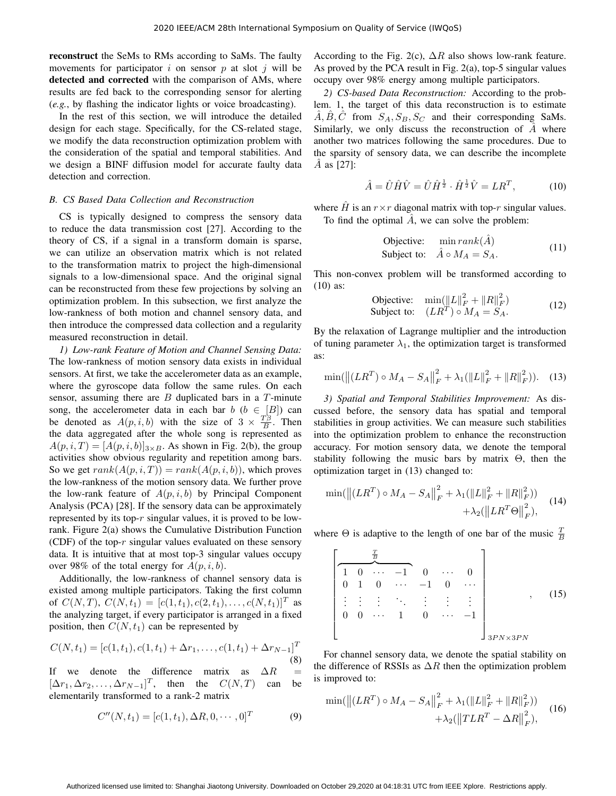reconstruct the SeMs to RMs according to SaMs. The faulty movements for participator i on sensor p at slot i will be detected and corrected with the comparison of AMs, where results are fed back to the corresponding sensor for alerting (*e.g.*, by flashing the indicator lights or voice broadcasting).

In the rest of this section, we will introduce the detailed design for each stage. Specifically, for the CS-related stage, we modify the data reconstruction optimization problem with the consideration of the spatial and temporal stabilities. And we design a BINF diffusion model for accurate faulty data detection and correction.

### *B. CS Based Data Collection and Reconstruction*

CS is typically designed to compress the sensory data to reduce the data transmission cost [27]. According to the theory of CS, if a signal in a transform domain is sparse, we can utilize an observation matrix which is not related to the transformation matrix to project the high-dimensional signals to a low-dimensional space. And the original signal can be reconstructed from these few projections by solving an optimization problem. In this subsection, we first analyze the low-rankness of both motion and channel sensory data, and then introduce the compressed data collection and a regularity measured reconstruction in detail.

*1) Low-rank Feature of Motion and Channel Sensing Data:* The low-rankness of motion sensory data exists in individual sensors. At first, we take the accelerometer data as an example, where the gyroscope data follow the same rules. On each sensor, assuming there are  $B$  duplicated bars in a  $T$ -minute song, the accelerometer data in each bar  $b \ (b \in [B])$  can be denoted as  $A(p, i, b)$  with the size of  $3 \times \frac{T\beta}{B}$ . Then the data aggregated after the whole song is represented as  $A(p, i, T) = [A(p, i, b)]_{3 \times B}$ . As shown in Fig. 2(b), the group activities show obvious regularity and repetition among bars. So we get  $rank(A(p, i, T)) = rank(A(p, i, b))$ , which proves the low-rankness of the motion sensory data. We further prove the low-rank feature of  $A(p, i, b)$  by Principal Component Analysis (PCA) [28]. If the sensory data can be approximately represented by its top- $r$  singular values, it is proved to be lowrank. Figure 2(a) shows the Cumulative Distribution Function (CDF) of the top- $r$  singular values evaluated on these sensory data. It is intuitive that at most top-3 singular values occupy over 98% of the total energy for  $A(p, i, b)$ .

Additionally, the low-rankness of channel sensory data is existed among multiple participators. Taking the first column of  $C(N, T)$ ,  $C(N, t_1) = [c(1, t_1), c(2, t_1), \dots, c(N, t_1)]^T$  as the analyzing target, if every participator is arranged in a fixed position, then  $C(N, t_1)$  can be represented by

$$
C(N, t_1) = [c(1, t_1), c(1, t_1) + \Delta r_1, \dots, c(1, t_1) + \Delta r_{N-1}]^T
$$
\n(8)

If we denote the difference matrix as  $\Delta R$  $[\Delta r_1, \Delta r_2, \dots, \Delta r_{N-1}]^T$ , then the  $C(N, T)$  can be elementarily transformed to a rank-2 matrix

$$
C''(N, t_1) = [c(1, t_1), \Delta R, 0, \cdots, 0]^T
$$
 (9)

According to the Fig. 2(c),  $\Delta R$  also shows low-rank feature. As proved by the PCA result in Fig. 2(a), top-5 singular values occupy over 98% energy among multiple participators.

*2) CS-based Data Reconstruction:* According to the problem. 1, the target of this data reconstruction is to estimate  $\hat{A}, \hat{B}, \hat{C}$  from  $S_A, S_B, S_C$  and their corresponding SaMs. Similarly, we only discuss the reconstruction of  $A$  where another two matrices following the same procedures. Due to the sparsity of sensory data, we can describe the incomplete  $\hat{A}$  as [27]:

$$
\hat{A} = \hat{U}\hat{H}\hat{V} = \hat{U}\hat{H}^{\frac{1}{2}} \cdot \hat{H}^{\frac{1}{2}}\hat{V} = LR^{T},\tag{10}
$$

where  $\hat{H}$  is an  $r \times r$  diagonal matrix with top-r singular values. To find the optimal  $\hat{A}$ , we can solve the problem:

$$
\begin{array}{ll}\n\text{Objective:} & \min rank(\hat{A})\\ \n\text{Subject to:} & \hat{A} \circ M_A = S_A. \n\end{array} \tag{11}
$$

This non-convex problem will be transformed according to (10) as:

$$
\begin{array}{ll}\n\text{Objective:} & \min(\|L\|_F^2 + \|R\|_F^2) \\
\text{Subject to:} & (LR^T) \circ M_A = S_A.\n\end{array} \tag{12}
$$

By the relaxation of Lagrange multiplier and the introduction of tuning parameter  $\lambda_1$ , the optimization target is transformed as:

$$
\min(\left\| (LR^T) \circ M_A - S_A \right\|_F^2 + \lambda_1(\|L\|_F^2 + \|R\|_F^2)). \tag{13}
$$

*3) Spatial and Temporal Stabilities Improvement:* As discussed before, the sensory data has spatial and temporal stabilities in group activities. We can measure such stabilities into the optimization problem to enhance the reconstruction accuracy. For motion sensory data, we denote the temporal stability following the music bars by matrix Θ, then the optimization target in (13) changed to:

$$
\min(||(LR^T) \circ M_A - S_A||_F^2 + \lambda_1(||L||_F^2 + ||R||_F^2)) + \lambda_2(||LR^T \Theta||_F^2), \quad (14)
$$

where  $\Theta$  is adaptive to the length of one bar of the music  $\frac{T}{B}$ 

$$
\begin{bmatrix}\n\frac{T}{B} \\
1 & 0 & \cdots & -1 & 0 & \cdots & 0 \\
0 & 1 & 0 & \cdots & -1 & 0 & \cdots \\
\vdots & \vdots & \vdots & \ddots & \vdots & \vdots & \vdots \\
0 & 0 & \cdots & 1 & 0 & \cdots & -1 \\
\end{bmatrix}_{3PN \times 3PN}
$$
\n(15)

For channel sensory data, we denote the spatial stability on the difference of RSSIs as  $\Delta R$  then the optimization problem is improved to:

$$
\min(||(LR^T) \circ M_A - S_A||_F^2 + \lambda_1 (||L||_F^2 + ||R||_F^2))
$$
  
 
$$
+ \lambda_2 (||TLR^T - \Delta R||_F^2),
$$
 (16)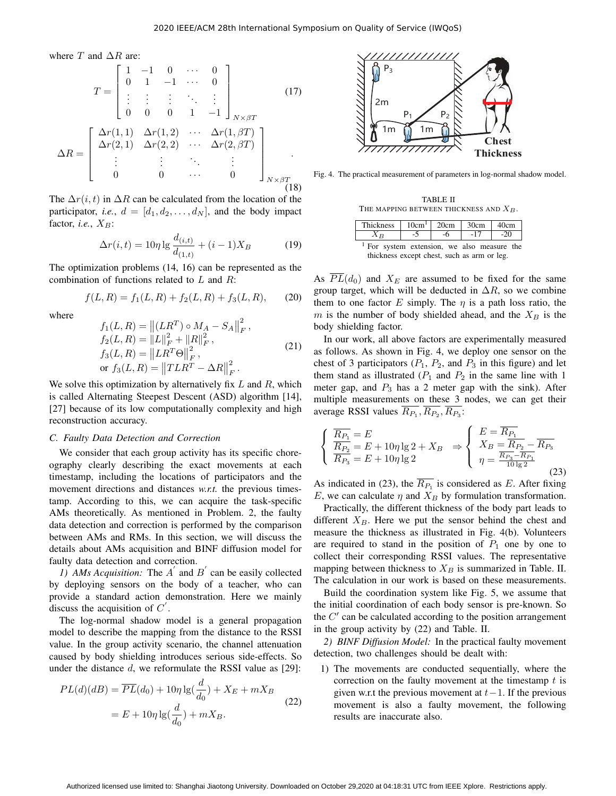where  $T$  and  $\Delta R$  are:

$$
T = \begin{bmatrix} 1 & -1 & 0 & \cdots & 0 \\ 0 & 1 & -1 & \cdots & 0 \\ \vdots & \vdots & \vdots & \ddots & \vdots \\ 0 & 0 & 0 & 1 & -1 \end{bmatrix}_{N \times \beta T}
$$

$$
\Delta R = \begin{bmatrix} \Delta r(1,1) & \Delta r(1,2) & \cdots & \Delta r(1,\beta T) \\ \Delta r(2,1) & \Delta r(2,2) & \cdots & \Delta r(2,\beta T) \\ \vdots & \vdots & \ddots & \vdots \\ 0 & 0 & \cdots & 0 \end{bmatrix}_{N \times \beta T}
$$

$$
(17)
$$

The  $\Delta r(i, t)$  in  $\Delta R$  can be calculated from the location of the participator, *i.e.*,  $d = [d_1, d_2, \dots, d_N]$ , and the body impact factor, *i.e.*,  $X_B$ :

$$
\Delta r(i, t) = 10\eta \lg \frac{d_{(i,t)}}{d_{(1,t)}} + (i - 1)X_B \tag{19}
$$

The optimization problems (14, 16) can be represented as the combination of functions related to L and R:

$$
f(L, R) = f_1(L, R) + f_2(L, R) + f_3(L, R), \qquad (20)
$$

where

$$
f_1(L, R) = ||(LR^T) \circ M_A - S_A||_F^2,
$$
  
\n
$$
f_2(L, R) = ||L||_F^2 + ||R||_F^2,
$$
  
\n
$$
f_3(L, R) = ||LR^T \Theta||_F^2,
$$
  
\nor 
$$
f_3(L, R) = ||TLR^T - \Delta R||_F^2.
$$
\n(21)

We solve this optimization by alternatively fix  $L$  and  $R$ , which is called Alternating Steepest Descent (ASD) algorithm [14], [27] because of its low computationally complexity and high reconstruction accuracy.

#### *C. Faulty Data Detection and Correction*

We consider that each group activity has its specific choreography clearly describing the exact movements at each timestamp, including the locations of participators and the movement directions and distances *w.r.t.* the previous timestamp. According to this, we can acquire the task-specific AMs theoretically. As mentioned in Problem. 2, the faulty data detection and correction is performed by the comparison between AMs and RMs. In this section, we will discuss the details about AMs acquisition and BINF diffusion model for faulty data detection and correction.

1) AMs Acquisition: The  $A'$  and  $B'$  can be easily collected by deploying sensors on the body of a teacher, who can provide a standard action demonstration. Here we mainly discuss the acquisition of  $C'$ .

The log-normal shadow model is a general propagation model to describe the mapping from the distance to the RSSI value. In the group activity scenario, the channel attenuation caused by body shielding introduces serious side-effects. So under the distance  $d$ , we reformulate the RSSI value as [29]:

$$
PL(d)(dB) = \overline{PL}(d_0) + 10\eta \lg(\frac{d}{d_0}) + X_E + mX_B
$$
  
= 
$$
E + 10\eta \lg(\frac{d}{d_0}) + mX_B.
$$
 (22)



Fig. 4. The practical measurement of parameters in log-normal shadow model.

TABLE II THE MAPPING BETWEEN THICKNESS AND  $X_B$ .

| Thickness                                                                                             | 10cm <sup>1</sup> | 20cm | 30cm  | 40cm  |  |  |
|-------------------------------------------------------------------------------------------------------|-------------------|------|-------|-------|--|--|
| $X_{B}$                                                                                               | -5                | -6   | $-17$ | $-20$ |  |  |
| <sup>1</sup> For system extension, we also measure the<br>thickness except chest, such as arm or leg. |                   |      |       |       |  |  |

m is the number of body shielded ahead, and the  $X_B$  is the group target, which will be deducted in  $\Delta R$ , so we combine As  $\overline{PL}(d_0)$  and  $X_E$  are assumed to be fixed for the same them to one factor E simply. The  $\eta$  is a path loss ratio, the body shielding factor.

multiple measurements on these 3 nodes, we can get their In our work, all above factors are experimentally measured as follows. As shown in Fig. 4, we deploy one sensor on the chest of 3 participators  $(P_1, P_2, \text{ and } P_3 \text{ in this figure})$  and let them stand as illustrated  $(P_1$  and  $P_2$  in the same line with 1 meter gap, and  $P_3$  has a 2 meter gap with the sink). After average RSSI values  $R_{P_1}, R_{P_2}, R_{P_3}$ :

$$
\begin{cases} \n\overline{R_{P_1}} = E \\
\overline{R_{P_2}} = E + 10\eta \lg 2 + X_B \\
\overline{R_{P_3}} = E + 10\eta \lg 2\n\end{cases} \Rightarrow \begin{cases} \nE = \overline{R_{P_1}} \\
X_B = \overline{R_{P_2} - R_{P_3}} \\
\eta = \frac{\overline{R_{P_3} - R_{P_1}}}{10 \lg 2}\n\end{cases}
$$
\n(23)

As indicated in (23), the  $\overline{R_{P_1}}$  is considered as E. After fixing E, we can calculate  $\eta$  and  $X_B$  by formulation transformation.

Practically, the different thickness of the body part leads to different  $X_B$ . Here we put the sensor behind the chest and measure the thickness as illustrated in Fig. 4(b). Volunteers are required to stand in the position of  $P_1$  one by one to collect their corresponding RSSI values. The representative mapping between thickness to  $X_B$  is summarized in Table. II. The calculation in our work is based on these measurements.

Build the coordination system like Fig. 5, we assume that the initial coordination of each body sensor is pre-known. So the  $C'$  can be calculated according to the position arrangement in the group activity by (22) and Table. II.

*2) BINF Diffusion Model:* In the practical faulty movement detection, two challenges should be dealt with:

1) The movements are conducted sequentially, where the correction on the faulty movement at the timestamp  $t$  is given w.r.t the previous movement at  $t-1$ . If the previous movement is also a faulty movement, the following results are inaccurate also.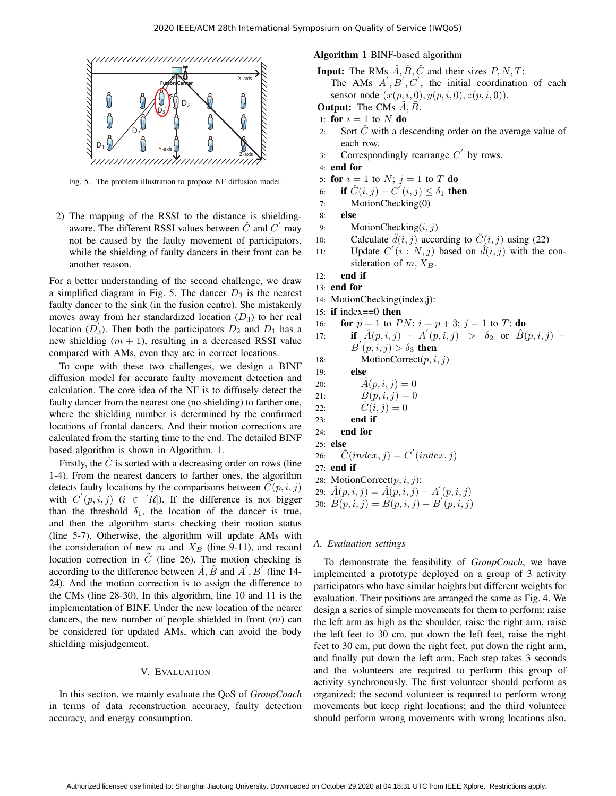

Fig. 5. The problem illustration to propose NF diffusion model.

2) The mapping of the RSSI to the distance is shieldingaware. The different RSSI values between  $\hat{C}$  and  $C'$  may not be caused by the faulty movement of participators, while the shielding of faulty dancers in their front can be another reason.

For a better understanding of the second challenge, we draw a simplified diagram in Fig. 5. The dancer  $D_3$  is the nearest faulty dancer to the sink (in the fusion centre). She mistakenly moves away from her standardized location  $(D_3)$  to her real location  $(D_3)$ . Then both the participators  $D_2$  and  $D_1$  has a new shielding  $(m + 1)$ , resulting in a decreased RSSI value compared with AMs, even they are in correct locations.

To cope with these two challenges, we design a BINF diffusion model for accurate faulty movement detection and calculation. The core idea of the NF is to diffusely detect the faulty dancer from the nearest one (no shielding) to farther one, where the shielding number is determined by the confirmed locations of frontal dancers. And their motion corrections are calculated from the starting time to the end. The detailed BINF based algorithm is shown in Algorithm. 1.

Firstly, the  $\hat{C}$  is sorted with a decreasing order on rows (line 1-4). From the nearest dancers to farther ones, the algorithm detects faulty locations by the comparisons between  $\tilde{C}(p, i, j)$ with  $C'(p, i, j)$   $(i \in [R])$ . If the difference is not bigger than the threshold  $\delta_1$ , the location of the dancer is true, and then the algorithm starts checking their motion status (line 5-7). Otherwise, the algorithm will update AMs with the consideration of new  $m$  and  $X_B$  (line 9-11), and record location correction in  $\tilde{C}$  (line 26). The motion checking is according to the difference between  $\hat{A}$ ,  $\hat{B}$  and  $A'$ ,  $B'$  (line 14-24). And the motion correction is to assign the difference to the CMs (line 28-30). In this algorithm, line 10 and 11 is the implementation of BINF. Under the new location of the nearer dancers, the new number of people shielded in front  $(m)$  can be considered for updated AMs, which can avoid the body shielding misjudgement.

#### V. EVALUATION

In this section, we mainly evaluate the QoS of *GroupCoach* in terms of data reconstruction accuracy, faulty detection accuracy, and energy consumption.

# Algorithm 1 BINF-based algorithm

**Input:** The RMs  $\hat{A}$ ,  $\hat{B}$ ,  $\hat{C}$  and their sizes  $P$ ,  $N$ ,  $T$ ; The AMs  $A', B', C'$ , the initial coordination of each sensor node  $(x(p, i, 0), y(p, i, 0), z(p, i, 0)).$ 

**Output:** The CMs  $A, B$ .

- 1: for  $i = 1$  to N do
- 2: Sort  $\hat{C}$  with a descending order on the average value of each row.
- 3: Correspondingly rearrange  $C'$  by rows.
- 4: end for
- 5: for  $i = 1$  to  $N$ ;  $j = 1$  to  $T$  do
- 6: if  $\hat{C}(i, j) \overline{C}'(i, j) \leq \delta_1$  then
- 7: MotionChecking(0)
- 8: else
- 9: MotionChecking $(i, j)$
- 10: Calculate  $\hat{d}(i, j)$  according to  $\hat{C}(i, j)$  using (22)
- 11: Update  $C(i : N, j)$  based on  $\hat{d}(i, j)$  with the consideration of  $m, X_B$ .
- 12: end if
- 13: end for
- 14: MotionChecking(index,j):
- 15: if index==0 then
- 16: **for**  $p = 1$  to  $PN$ ;  $i = p + 3$ ;  $j = 1$  to  $T$ ; **do**
- 17: **if**  $\hat{A}(p, i, j) A'(p, i, j) > \delta_2$  or  $\hat{B}(p, i, j)$  $B'(p, i, j) > \delta_3$  then
- 18: MotionCorrect $(p, i, j)$
- 19: else
- 20:  $\hat{A}(p, i, j) = 0$
- 21:  $\ddot{B}(p, i, j) = 0$
- 22:  $\hat{C}(i, j) = 0$
- 23: end if
- 24: end for
- 25: else
- 26:  $\tilde{C}(index, j) = C'(index, j)$
- 27: end if
- 28: MotionCorrect $(p, i, j)$ :
- 29:  $\tilde{A}(p, i, j) = \hat{A}(p, i, j) A'(p, i, j)$
- 30:  $\widetilde{B}(p, i, j) = \widehat{B}(p, i, j) B'(p, i, j)$

# *A. Evaluation settings*

To demonstrate the feasibility of *GroupCoach*, we have implemented a prototype deployed on a group of 3 activity participators who have similar heights but different weights for evaluation. Their positions are arranged the same as Fig. 4. We design a series of simple movements for them to perform: raise the left arm as high as the shoulder, raise the right arm, raise the left feet to 30 cm, put down the left feet, raise the right feet to 30 cm, put down the right feet, put down the right arm, and finally put down the left arm. Each step takes 3 seconds and the volunteers are required to perform this group of activity synchronously. The first volunteer should perform as organized; the second volunteer is required to perform wrong movements but keep right locations; and the third volunteer should perform wrong movements with wrong locations also.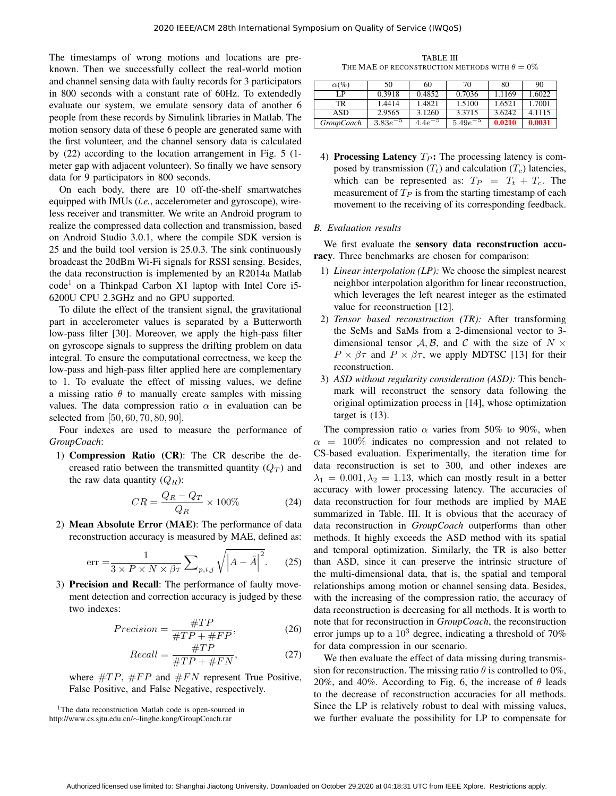The timestamps of wrong motions and locations are preknown. Then we successfully collect the real-world motion and channel sensing data with faulty records for 3 participators in 800 seconds with a constant rate of 60Hz. To extendedly evaluate our system, we emulate sensory data of another 6 people from these records by Simulink libraries in Matlab. The motion sensory data of these 6 people are generated same with the first volunteer, and the channel sensory data is calculated by (22) according to the location arrangement in Fig. 5 (1 meter gap with adjacent volunteer). So finally we have sensory data for 9 participators in 800 seconds.

On each body, there are 10 off-the-shelf smartwatches equipped with IMUs (*i.e.*, accelerometer and gyroscope), wireless receiver and transmitter. We write an Android program to realize the compressed data collection and transmission, based on Android Studio 3.0.1, where the compile SDK version is 25 and the build tool version is 25.0.3. The sink continuously broadcast the 20dBm Wi-Fi signals for RSSI sensing. Besides, the data reconstruction is implemented by an R2014a Matlab  $code<sup>1</sup>$  on a Thinkpad Carbon X1 laptop with Intel Core i5-6200U CPU 2.3GHz and no GPU supported.

To dilute the effect of the transient signal, the gravitational part in accelerometer values is separated by a Butterworth low-pass filter [30]. Moreover, we apply the high-pass filter on gyroscope signals to suppress the drifting problem on data integral. To ensure the computational correctness, we keep the low-pass and high-pass filter applied here are complementary to 1. To evaluate the effect of missing values, we define a missing ratio  $\theta$  to manually create samples with missing values. The data compression ratio  $\alpha$  in evaluation can be selected from [50, 60, 70, 80, 90].

Four indexes are used to measure the performance of *GroupCoach*:

1) Compression Ratio (CR): The CR describe the decreased ratio between the transmitted quantity  $(Q_T)$  and the raw data quantity  $(Q_R)$ :

$$
CR = \frac{Q_R - Q_T}{Q_R} \times 100\% \tag{24}
$$

2) Mean Absolute Error (MAE): The performance of data reconstruction accuracy is measured by MAE, defined as:

$$
\text{err} = \frac{1}{3 \times P \times N \times \beta \tau} \sum_{p,i,j} \sqrt{\left| A - \hat{A} \right|^2}. \tag{25}
$$

3) Precision and Recall: The performance of faulty movement detection and correction accuracy is judged by these two indexes:

$$
Precision = \frac{\#TP}{\#TP + \#FP},\tag{26}
$$

$$
Recall = \frac{\#TP}{\#TP + \#FN},\tag{27}
$$

where  $\#TP$ ,  $\#FP$  and  $\#FN$  represent True Positive, False Positive, and False Negative, respectively.

<sup>1</sup>The data reconstruction Matlab code is open-sourced in http://www.cs.sjtu.edu.cn/∼linghe.kong/GroupCoach.rar

TABLE III THE MAE OF RECONSTRUCTION METHODS WITH  $\theta = 0\%$ 

| $\alpha$ (%)      | 50           | 60              | 70           | 80     | 90     |
|-------------------|--------------|-----------------|--------------|--------|--------|
| I P               | 0.3918       | 0.4852          | 0.7036       | 1.1169 | 1.6022 |
| TR                | 1.4414       | 1.4821          | 1.5100       | 1.6521 | 1.7001 |
| ASD               | 2.9565       | 3.1260          | 3.3715       | 3.6242 | 4.1115 |
| <i>GroupCoach</i> | $3.83e^{-5}$ | — 5<br>$4.4e^-$ | $5.49e^{-5}$ | 0.0210 | 0.0031 |

4) Processing Latency  $T_P$ : The processing latency is composed by transmission  $(T_t)$  and calculation  $(T_c)$  latencies, which can be represented as:  $T_P = T_t + T_c$ . The measurement of  $T_P$  is from the starting timestamp of each movement to the receiving of its corresponding feedback.

## *B. Evaluation results*

We first evaluate the sensory data reconstruction accuracy. Three benchmarks are chosen for comparison:

- 1) *Linear interpolation (LP):* We choose the simplest nearest neighbor interpolation algorithm for linear reconstruction, which leverages the left nearest integer as the estimated value for reconstruction [12].
- 2) *Tensor based reconstruction (TR):* After transforming the SeMs and SaMs from a 2-dimensional vector to 3 dimensional tensor A, B, and C with the size of  $N \times$  $P \times \beta \tau$  and  $P \times \beta \tau$ , we apply MDTSC [13] for their reconstruction.
- 3) *ASD without regularity consideration (ASD):* This benchmark will reconstruct the sensory data following the original optimization process in [14], whose optimization target is (13).

The compression ratio  $\alpha$  varies from 50% to 90%, when  $\alpha$  = 100% indicates no compression and not related to CS-based evaluation. Experimentally, the iteration time for data reconstruction is set to 300, and other indexes are  $\lambda_1 = 0.001, \lambda_2 = 1.13$ , which can mostly result in a better accuracy with lower processing latency. The accuracies of data reconstruction for four methods are implied by MAE summarized in Table. III. It is obvious that the accuracy of data reconstruction in *GroupCoach* outperforms than other methods. It highly exceeds the ASD method with its spatial and temporal optimization. Similarly, the TR is also better than ASD, since it can preserve the intrinsic structure of the multi-dimensional data, that is, the spatial and temporal relationships among motion or channel sensing data. Besides, with the increasing of the compression ratio, the accuracy of data reconstruction is decreasing for all methods. It is worth to note that for reconstruction in *GroupCoach*, the reconstruction error jumps up to a  $10<sup>3</sup>$  degree, indicating a threshold of 70% for data compression in our scenario.

We then evaluate the effect of data missing during transmission for reconstruction. The missing ratio  $\theta$  is controlled to 0%, 20%, and 40%. According to Fig. 6, the increase of  $\theta$  leads to the decrease of reconstruction accuracies for all methods. Since the LP is relatively robust to deal with missing values, we further evaluate the possibility for LP to compensate for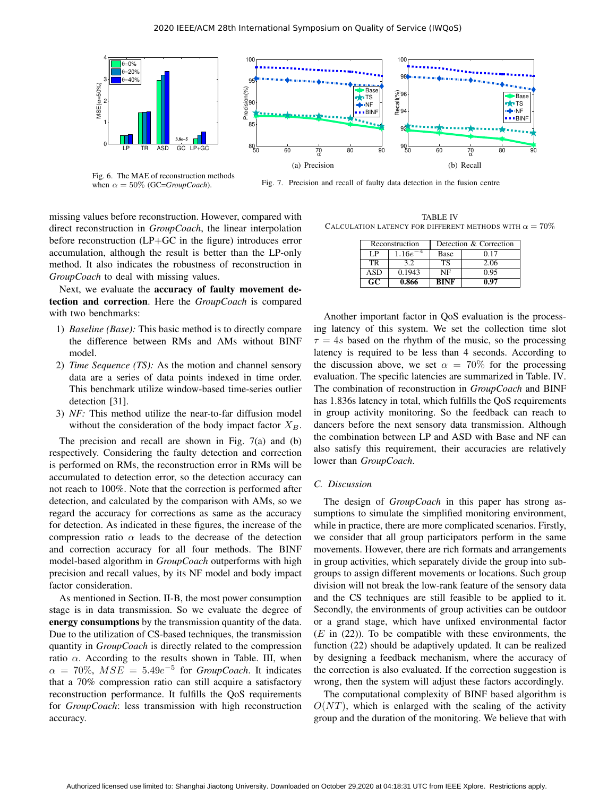

Fig. 6. The MAE of reconstruction methods when  $\alpha = 50\%$  (GC=*GroupCoach*).

1

2

MSE( α=50%)<br>מ

3H I

 $=20$ 

4⊫

Fig. 7. Precision and recall of faulty data detection in the fusion centre

missing values before reconstruction. However, compared with direct reconstruction in *GroupCoach*, the linear interpolation before reconstruction (LP+GC in the figure) introduces error accumulation, although the result is better than the LP-only method. It also indicates the robustness of reconstruction in *GroupCoach* to deal with missing values.

Next, we evaluate the accuracy of faulty movement detection and correction. Here the *GroupCoach* is compared with two benchmarks:

- 1) *Baseline (Base):* This basic method is to directly compare the difference between RMs and AMs without BINF model.
- 2) *Time Sequence (TS):* As the motion and channel sensory data are a series of data points indexed in time order. This benchmark utilize window-based time-series outlier detection [31].
- 3) *NF:* This method utilize the near-to-far diffusion model without the consideration of the body impact factor  $X_B$ .

The precision and recall are shown in Fig. 7(a) and (b) respectively. Considering the faulty detection and correction is performed on RMs, the reconstruction error in RMs will be accumulated to detection error, so the detection accuracy can not reach to 100%. Note that the correction is performed after detection, and calculated by the comparison with AMs, so we regard the accuracy for corrections as same as the accuracy for detection. As indicated in these figures, the increase of the compression ratio  $\alpha$  leads to the decrease of the detection and correction accuracy for all four methods. The BINF model-based algorithm in *GroupCoach* outperforms with high precision and recall values, by its NF model and body impact factor consideration.

As mentioned in Section. II-B, the most power consumption stage is in data transmission. So we evaluate the degree of energy consumptions by the transmission quantity of the data. Due to the utilization of CS-based techniques, the transmission quantity in *GroupCoach* is directly related to the compression ratio  $\alpha$ . According to the results shown in Table. III, when  $\alpha = 70\%, MSE = 5.49e^{-5}$  for *GroupCoach*. It indicates that a 70% compression ratio can still acquire a satisfactory reconstruction performance. It fulfills the QoS requirements for *GroupCoach*: less transmission with high reconstruction accuracy.

TABLE IV CALCULATION LATENCY FOR DIFFERENT METHODS WITH  $\alpha = 70\%$ 

Bas  $\blacksquare$ TS NF

| Reconstruction  |             | Detection & Correction |      |  |
|-----------------|-------------|------------------------|------|--|
| L P             | $1.16e^{-}$ | Base                   | 0.17 |  |
| TR              | 3.2         | <b>TS</b>              | 2.06 |  |
| <b>ASD</b>      | 0.1943      | NF                     | 0.95 |  |
| $\overline{GC}$ | 0.866       | RINF                   | 0.97 |  |

Another important factor in QoS evaluation is the processing latency of this system. We set the collection time slot  $\tau = 4s$  based on the rhythm of the music, so the processing latency is required to be less than 4 seconds. According to the discussion above, we set  $\alpha = 70\%$  for the processing evaluation. The specific latencies are summarized in Table. IV. The combination of reconstruction in *GroupCoach* and BINF has 1.836s latency in total, which fulfills the QoS requirements in group activity monitoring. So the feedback can reach to dancers before the next sensory data transmission. Although the combination between LP and ASD with Base and NF can also satisfy this requirement, their accuracies are relatively lower than *GroupCoach*.

#### *C. Discussion*

The design of *GroupCoach* in this paper has strong assumptions to simulate the simplified monitoring environment, while in practice, there are more complicated scenarios. Firstly, we consider that all group participators perform in the same movements. However, there are rich formats and arrangements in group activities, which separately divide the group into subgroups to assign different movements or locations. Such group division will not break the low-rank feature of the sensory data and the CS techniques are still feasible to be applied to it. Secondly, the environments of group activities can be outdoor or a grand stage, which have unfixed environmental factor  $(E$  in  $(22)$ ). To be compatible with these environments, the function (22) should be adaptively updated. It can be realized by designing a feedback mechanism, where the accuracy of the correction is also evaluated. If the correction suggestion is wrong, then the system will adjust these factors accordingly.

The computational complexity of BINF based algorithm is  $O(NT)$ , which is enlarged with the scaling of the activity group and the duration of the monitoring. We believe that with